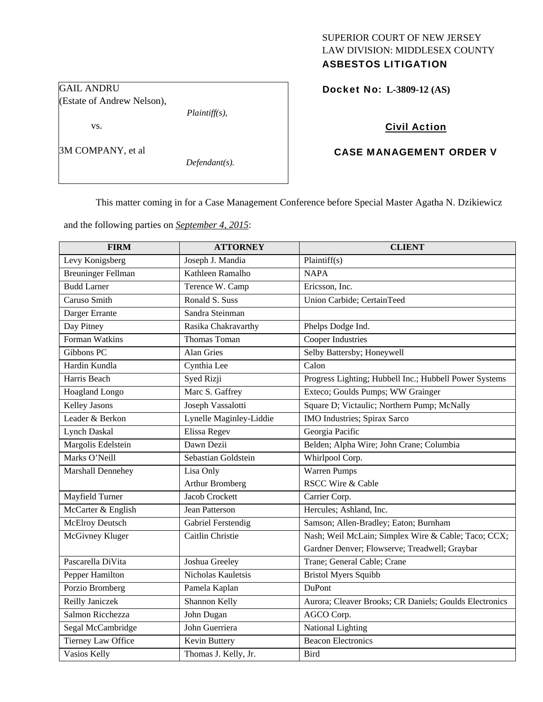# SUPERIOR COURT OF NEW JERSEY LAW DIVISION: MIDDLESEX COUNTY

## ASBESTOS LITIGATION

Docket No: **L-3809-12 (AS)** 

## Civil Action

## CASE MANAGEMENT ORDER V

This matter coming in for a Case Management Conference before Special Master Agatha N. Dzikiewicz

and the following parties on *September 4, 2015*:

| <b>FIRM</b>               | <b>ATTORNEY</b>         | <b>CLIENT</b>                                          |
|---------------------------|-------------------------|--------------------------------------------------------|
| Levy Konigsberg           | Joseph J. Mandia        | Plaintiff(s)                                           |
| <b>Breuninger Fellman</b> | Kathleen Ramalho        | <b>NAPA</b>                                            |
| <b>Budd Larner</b>        | Terence W. Camp         | Ericsson, Inc.                                         |
| Caruso Smith              | Ronald S. Suss          | Union Carbide; CertainTeed                             |
| Darger Errante            | Sandra Steinman         |                                                        |
| Day Pitney                | Rasika Chakravarthy     | Phelps Dodge Ind.                                      |
| Forman Watkins            | Thomas Toman            | Cooper Industries                                      |
| Gibbons PC                | <b>Alan Gries</b>       | Selby Battersby; Honeywell                             |
| Hardin Kundla             | Cynthia Lee             | Calon                                                  |
| Harris Beach              | Syed Rizji              | Progress Lighting; Hubbell Inc.; Hubbell Power Systems |
| <b>Hoagland Longo</b>     | Marc S. Gaffrey         | Exteco; Goulds Pumps; WW Grainger                      |
| <b>Kelley Jasons</b>      | Joseph Vassalotti       | Square D; Victaulic; Northern Pump; McNally            |
| Leader & Berkon           | Lynelle Maginley-Liddie | IMO Industries; Spirax Sarco                           |
| Lynch Daskal              | Elissa Regev            | Georgia Pacific                                        |
| Margolis Edelstein        | Dawn Dezii              | Belden; Alpha Wire; John Crane; Columbia               |
| Marks O'Neill             | Sebastian Goldstein     | Whirlpool Corp.                                        |
| Marshall Dennehey         | Lisa Only               | Warren Pumps                                           |
|                           | <b>Arthur Bromberg</b>  | <b>RSCC Wire &amp; Cable</b>                           |
| Mayfield Turner           | Jacob Crockett          | Carrier Corp.                                          |
| McCarter & English        | Jean Patterson          | Hercules; Ashland, Inc.                                |
| <b>McElroy Deutsch</b>    | Gabriel Ferstendig      | Samson; Allen-Bradley; Eaton; Burnham                  |
| McGivney Kluger           | Caitlin Christie        | Nash; Weil McLain; Simplex Wire & Cable; Taco; CCX;    |
|                           |                         | Gardner Denver; Flowserve; Treadwell; Graybar          |
| Pascarella DiVita         | Joshua Greeley          | Trane; General Cable; Crane                            |
| Pepper Hamilton           | Nicholas Kauletsis      | <b>Bristol Myers Squibb</b>                            |
| Porzio Bromberg           | Pamela Kaplan           | DuPont                                                 |
| Reilly Janiczek           | Shannon Kelly           | Aurora; Cleaver Brooks; CR Daniels; Goulds Electronics |
| Salmon Ricchezza          | John Dugan              | AGCO Corp.                                             |
| Segal McCambridge         | John Guerriera          | National Lighting                                      |
| Tierney Law Office        | Kevin Buttery           | <b>Beacon Electronics</b>                              |
| Vasios Kelly              | Thomas J. Kelly, Jr.    | <b>Bird</b>                                            |

GAIL ANDRU (Estate of Andrew Nelson), vs.

*Plaintiff(s),* 

*Defendant(s).* 

3M COMPANY, et al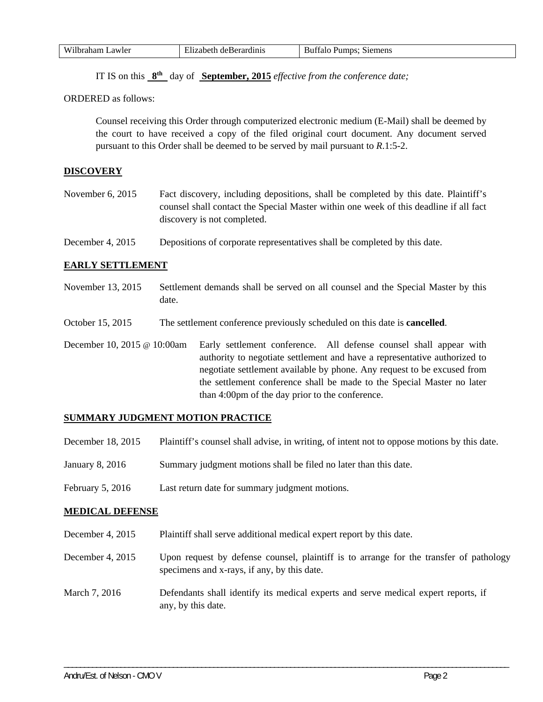| Wilh.<br>$-$<br>awler<br>--- | $-$<br>. .<br>ы<br>-016<br>.оегр<br>:nt<br>-чаниш. | Siemens<br>umns<br>ы<br>. я н |
|------------------------------|----------------------------------------------------|-------------------------------|

IT IS on this **8th** day of **September, 2015** *effective from the conference date;*

ORDERED as follows:

Counsel receiving this Order through computerized electronic medium (E-Mail) shall be deemed by the court to have received a copy of the filed original court document. Any document served pursuant to this Order shall be deemed to be served by mail pursuant to *R*.1:5-2.

## **DISCOVERY**

November 6, 2015 Fact discovery, including depositions, shall be completed by this date. Plaintiff's counsel shall contact the Special Master within one week of this deadline if all fact discovery is not completed.

December 4, 2015 Depositions of corporate representatives shall be completed by this date.

### **EARLY SETTLEMENT**

- November 13, 2015 Settlement demands shall be served on all counsel and the Special Master by this date.
- October 15, 2015 The settlement conference previously scheduled on this date is **cancelled**.
- December 10, 2015 @ 10:00am Early settlement conference. All defense counsel shall appear with authority to negotiate settlement and have a representative authorized to negotiate settlement available by phone. Any request to be excused from the settlement conference shall be made to the Special Master no later than 4:00pm of the day prior to the conference.

## **SUMMARY JUDGMENT MOTION PRACTICE**

- December 18, 2015 Plaintiff's counsel shall advise, in writing, of intent not to oppose motions by this date.
- January 8, 2016 Summary judgment motions shall be filed no later than this date.
- February 5, 2016 Last return date for summary judgment motions.

#### **MEDICAL DEFENSE**

- December 4, 2015 Plaintiff shall serve additional medical expert report by this date.
- December 4, 2015 Upon request by defense counsel, plaintiff is to arrange for the transfer of pathology specimens and x-rays, if any, by this date.

\_\_\_\_\_\_\_\_\_\_\_\_\_\_\_\_\_\_\_\_\_\_\_\_\_\_\_\_\_\_\_\_\_\_\_\_\_\_\_\_\_\_\_\_\_\_\_\_\_\_\_\_\_\_\_\_\_\_\_\_\_\_\_\_\_\_\_\_\_\_\_\_\_\_\_\_\_\_\_\_\_\_\_\_\_\_\_\_\_\_\_\_\_\_\_\_\_\_\_\_\_\_\_\_\_\_\_\_\_\_

March 7, 2016 Defendants shall identify its medical experts and serve medical expert reports, if any, by this date.